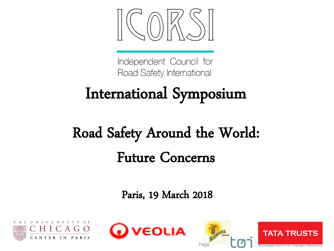

Independent Council for Road Safety International

# International Symposium

## Road Safety Around the World: Future Concerns

Paris, 19 March 2018





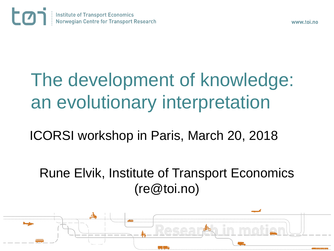

# The development of knowledge: an evolutionary interpretation

ICORSI workshop in Paris, March 20, 2018

Rune Elvik, Institute of Transport Economics (re@toi.no)

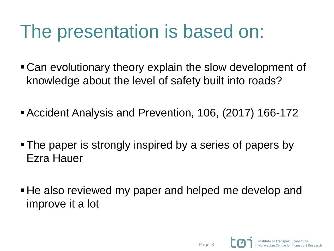## The presentation is based on:

- Can evolutionary theory explain the slow development of knowledge about the level of safety built into roads?
- Accident Analysis and Prevention, 106, (2017) 166-172
- The paper is strongly inspired by a series of papers by Ezra Hauer
- He also reviewed my paper and helped me develop and improve it a lot

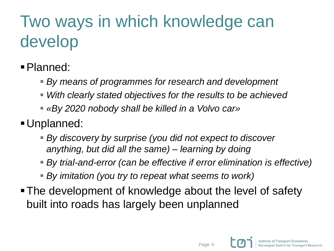## Two ways in which knowledge can develop

- Planned:
	- *By means of programmes for research and development*
	- *With clearly stated objectives for the results to be achieved*
	- *«By 2020 nobody shall be killed in a Volvo car»*
- Unplanned:
	- *By discovery by surprise (you did not expect to discover anything, but did all the same) – learning by doing*
	- *By trial-and-error (can be effective if error elimination is effective)*
	- *By imitation (you try to repeat what seems to work)*
- The development of knowledge about the level of safety built into roads has largely been unplanned

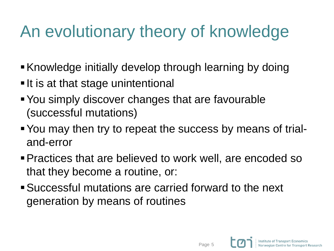### An evolutionary theory of knowledge

- Knowledge initially develop through learning by doing
- It is at that stage unintentional
- You simply discover changes that are favourable (successful mutations)
- You may then try to repeat the success by means of trialand-error
- Practices that are believed to work well, are encoded so that they become a routine, or:
- Successful mutations are carried forward to the next generation by means of routines

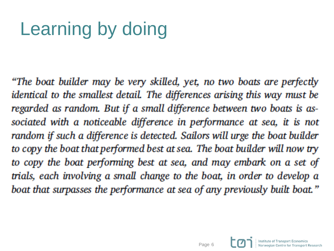# Learning by doing

"The boat builder may be very skilled, yet, no two boats are perfectly identical to the smallest detail. The differences arising this way must be regarded as random. But if a small difference between two boats is associated with a noticeable difference in performance at sea, it is not random if such a difference is detected. Sailors will urge the boat builder to copy the boat that performed best at sea. The boat builder will now try to copy the boat performing best at sea, and may embark on a set of trials, each involving a small change to the boat, in order to develop a boat that surpasses the performance at sea of any previously built boat."

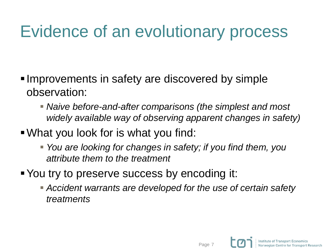### Evidence of an evolutionary process

- Improvements in safety are discovered by simple observation:
	- *Naive before-and-after comparisons (the simplest and most widely available way of observing apparent changes in safety)*
- What you look for is what you find:
	- *You are looking for changes in safety; if you find them, you attribute them to the treatment*
- You try to preserve success by encoding it:
	- *Accident warrants are developed for the use of certain safety treatments*

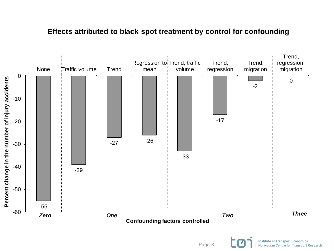#### **Effects attributed to black spot treatment by control for confounding**



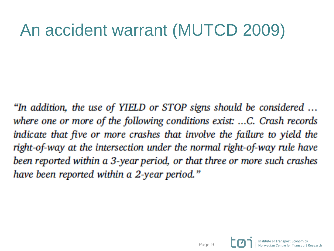#### An accident warrant (MUTCD 2009)

"In addition, the use of YIELD or STOP signs should be considered ... where one or more of the following conditions exist: ...C. Crash records indicate that five or more crashes that involve the failure to yield the right-of-way at the intersection under the normal right-of-way rule have been reported within a 3-year period, or that three or more such crashes have been reported within a 2-year period."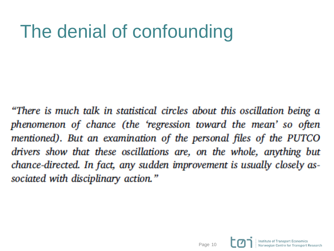# The denial of confounding

"There is much talk in statistical circles about this oscillation being a phenomenon of chance (the 'regression toward the mean' so often mentioned). But an examination of the personal files of the PUTCO drivers show that these oscillations are, on the whole, anything but chance-directed. In fact, any sudden improvement is usually closely associated with disciplinary action."

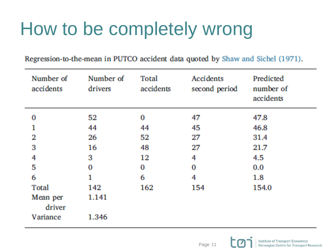# How to be completely wrong

Regression-to-the-mean in PUTCO accident data quoted by Shaw and Sichel (1971).

| Number of<br>accidents | Number of<br>drivers | Total<br>accidents | Accidents<br>second period | Predicted<br>number of<br>accidents |
|------------------------|----------------------|--------------------|----------------------------|-------------------------------------|
| 0                      | 52                   | 0                  | 47                         | 47.8                                |
|                        | 44                   | 44                 | 45                         | 46.8                                |
| 2                      | 26                   | 52                 | 27                         | 31.4                                |
| 3                      | 16                   | 48                 | 27                         | 21.7                                |
| 4                      | 3                    | $12 \,$            | 4                          | 4.5                                 |
| 5                      | $\bf{0}$             | 0                  | O                          | 0.0                                 |
| 6                      |                      | 6                  | 4                          | 1.8                                 |
| <b>Total</b>           | 142                  | 162                | 154                        | 154.0                               |
| Mean per<br>driver     | 1.141                |                    |                            |                                     |
| Variance               | 1.346                |                    |                            |                                     |

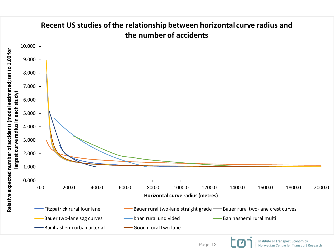#### **Recent US studies of the relationship between horizontal curve radius and the number of accidents**